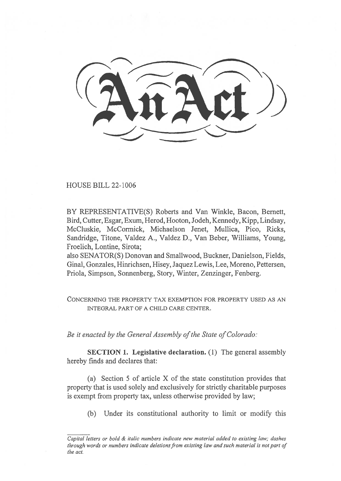HOUSE BILL 22-1006

BY REPRESENTATIVE(S) Roberts and Van Winkle, Bacon, Bernett, Bird, Cutter, Esgar, Exum, Herod, Hooton, Jodeh, Kennedy, Kipp, Lindsay, McCluskie, McCormick, Michaelson Jenet, Mullica, Pico, Ricks, Sandridge, Titone, Valdez A., Valdez D., Van Beber, Williams, Young, Froelich, Lontine, Sirota;

also SENATOR(S) Donovan and Smallwood, Buckner, Danielson, Fields, Ginal, Gonzales, Hinrichsen, Hisey, Jaquez Lewis, Lee, Moreno, Pettersen, Priola, Simpson, Sonnenberg, Story, Winter, Zenzinger, Fenberg.

CONCERNING THE PROPERTY TAX EXEMPTION FOR PROPERTY USED AS AN INTEGRAL PART OF A CHILD CARE CENTER.

Be it enacted by the General Assembly of the State of Colorado:

SECTION 1. Legislative declaration. (1) The general assembly hereby finds and declares that:

(a) Section 5 of article X of the state constitution provides that property that is used solely and exclusively for strictly charitable purposes is exempt from property tax, unless otherwise provided by law;

(b) Under its constitutional authority to limit or modify this

Capital letters or bold & italic numbers indicate new material added to existing law; dashes through words or numbers indicate deletions from existing law and such material is not part of the act.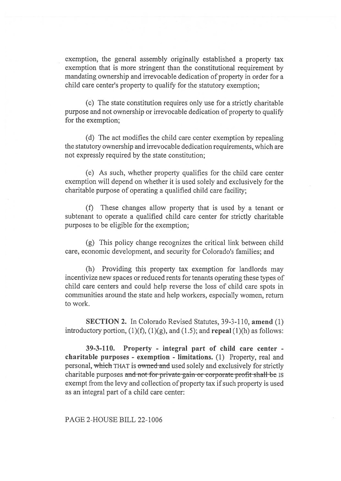exemption, the general assembly originally established a property tax exemption that is more stringent than the constitutional requirement by mandating ownership and irrevocable dedication of property in order for a child care center's property to qualify for the statutory exemption;

(c) The state constitution requires only use for a strictly charitable purpose and not ownership or irrevocable dedication of property to qualify for the exemption;

(d) The act modifies the child care center exemption by repealing the statutory ownership and irrevocable dedication requirements, which are not expressly required by the state constitution;

(e) As such, whether property qualifies for the child care center exemption will depend on whether it is used solely and exclusively for the charitable purpose of operating a qualified child care facility;

(f) These changes allow property that is used by a tenant or subtenant to operate a qualified child care center for strictly charitable purposes to be eligible for the exemption;

(g) This policy change recognizes the critical link between child care, economic development, and security for Colorado's families; and

(h) Providing this property tax exemption for landlords may incentivize new spaces or reduced rents for tenants operating these types of child care centers and could help reverse the loss of child care spots in communities around the state and help workers, especially women, return to work.

SECTION 2. In Colorado Revised Statutes, 39-3-110, amend (1) introductory portion,  $(1)(f)$ ,  $(1)(g)$ , and  $(1.5)$ ; and repeal  $(1)(h)$  as follows:

39-3-110. Property - integral part of child care center charitable purposes - exemption - limitations. (1) Property, real and personal, which THAT is owned and used solely and exclusively for strictly charitable purposes and not for private gain or corporate profit shall-be IS exempt from the levy and collection of property tax if such property is used as an integral part of a child care center:

PAGE 2-HOUSE BILL 22-1006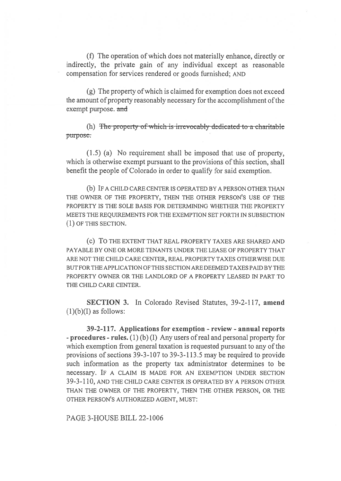(f) The operation of which does not materially enhance, directly or indirectly, the private gain of any individual except as reasonable compensation for services rendered or goods furnished; AND

(g) The property of which is claimed for exemption does not exceed the amount of property reasonably necessary for the accomplishment of the exempt purpose. and

(h) The property of which is irrevocably dedicated to a charitable purpose.

(1.5) (a) No requirement shall be imposed that use of property, which is otherwise exempt pursuant to the provisions of this section, shall benefit the people of Colorado in order to qualify for said exemption.

(b) IF A CHILD CARE CENTER IS OPERATED BY A PERSON OTHER THAN THE OWNER OF THE PROPERTY, THEN THE OTHER PERSON'S USE OF THE PROPERTY IS THE SOLE BASIS FOR DETERMINING WHETHER THE PROPERTY MEETS THE REQUIREMENTS FOR THE EXEMPTION SET FORTH IN SUBSECTION (1) OF THIS SECTION.

(c) To THE EXTENT THAT REAL PROPERTY TAXES ARE SHARED AND PAYABLE BY ONE OR MORE TENANTS UNDER THE LEASE OF PROPERTY THAT ARE NOT THE CHILD CARE CENTER, REAL PROPERTY TAXES OTHERWISE DUE BUT FOR THE APPLICATION OF THIS SECTION ARE DEEMED TAXES PAID BY THE PROPERTY OWNER OR THE LANDLORD OF A PROPERTY LEASED IN PART TO THE CHILD CARE CENTER.

SECTION 3. In Colorado Revised Statutes, 39-2-117, amend  $(1)(b)(I)$  as follows:

39-2-117. Applications for exemption - review - annual reports - procedures - rules. (1) (b) (I) Any users of real and personal property for which exemption from general taxation is requested pursuant to any of the provisions of sections 39-3-107 to 39-3-113.5 may be required to provide such information as the property tax administrator determines to be necessary. IF A CLAIM IS MADE FOR AN EXEMPTION UNDER SECTION 39-3-110, AND THE CHILD CARE CENTER IS OPERATED BY A PERSON OTHER THAN THE OWNER OF THE PROPERTY, THEN THE OTHER PERSON, OR THE OTHER PERSON'S AUTHORIZED AGENT, MUST:

PAGE 3-HOUSE BILL 22-1006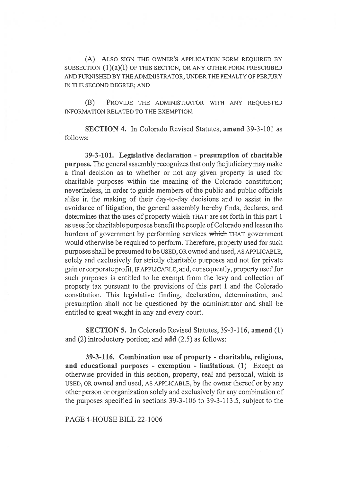(A) ALSO SIGN THE OWNER'S APPLICATION FORM REQUIRED BY SUBSECTION (1)(a)(I) OF THIS SECTION, OR ANY OTHER FORM PRESCRIBED AND FURNISHED BY THE ADMINISTRATOR, UNDER THE PENALTY OF PERJURY IN THE SECOND DEGREE; AND

(B) PROVIDE THE ADMINISTRATOR WITH ANY REQUESTED INFORMATION RELATED TO THE EXEMPTION.

SECTION 4. In Colorado Revised Statutes, amend 39-3-101 as follows:

39-3-101. Legislative declaration - presumption of charitable purpose. The general assembly recognizes that only the judiciary may make a final decision as to whether or not any given property is used for charitable purposes within the meaning of the Colorado constitution; nevertheless, in order to guide members of the public and public officials alike in the making of their day-to-day decisions and to assist in the avoidance of litigation, the general assembly hereby finds, declares, and determines that the uses of property which THAT are set forth in this part 1 as uses for charitable purposes benefit the people of Colorado and lessen the burdens of government by performing services which THAT government would otherwise be required to perform. Therefore, property used for such purposes shall be presumed to be USED, OR owned and used, AS APPLICABLE, solely and exclusively for strictly charitable purposes and not for private gain or corporate profit, IF APPLICABLE, and, consequently, property used for such purposes is entitled to be exempt from the levy and collection of property tax pursuant to the provisions of this part 1 and the Colorado constitution. This legislative finding, declaration, determination, and presumption shall not be questioned by the administrator and shall be entitled to great weight in any and every court.

SECTION 5. In Colorado Revised Statutes, 39-3-116, amend (1) and (2) introductory portion; and add (2.5) as follows:

39-3-116. Combination use of property - charitable, religious, and educational purposes - exemption - limitations. (1) Except as otherwise provided in this section, property, real and personal, which is USED, OR owned and used, AS APPLICABLE, by the owner thereof or by any other person or organization solely and exclusively for any combination of the purposes specified in sections 39-3-106 to 39-3-113.5, subject to the

PAGE 4-HOUSE BILL 22-1006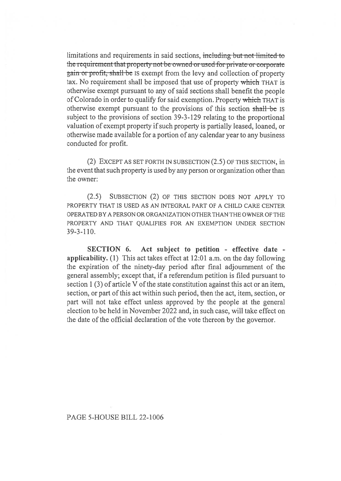limitations and requirements in said sections, including but not limited to the requirement that property not be owned or used-for private or corporate gain or profit, shall bc Is exempt from the levy and collection of property tax. No requirement shall be imposed that use of property which THAT is otherwise exempt pursuant to any of said sections shall benefit the people of Colorado in order to qualify for said exemption. Property which THAT is otherwise exempt pursuant to the provisions of this section shall be IS subject to the provisions of section 39-3-129 relating to the proportional valuation of exempt property if such property is partially leased, loaned, or otherwise made available for a portion of any calendar year to any business conducted for profit.

(2) EXCEPT AS SET FORTH IN SUBSECTION (2.5) OF THIS SECTION, in the event that such property is used by any person or organization other than the owner:

(2.5) SUBSECTION (2) OF THIS SECTION DOES NOT APPLY TO PROPERTY THAT IS USED AS AN INTEGRAL PART OF A CHILD CARE CENTER OPERATED BY A PERSON OR ORGANIZATION OTHER THAN THE OWNER OF THE PROPERTY AND THAT QUALIFIES FOR AN EXEMPTION UNDER SECTION 39-3-110.

SECTION 6. Act subject to petition - effective date applicability. (1) This act takes effect at 12:01 a.m. on the day following the expiration of the ninety-day period after final adjournment of the general assembly; except that, if a referendum petition is filed pursuant to section 1 (3) of article V of the state constitution against this act or an item, section, or part of this act within such period, then the act, item, section, or part will not take effect unless approved by the people at the general election to be held in November 2022 and, in such case, will take effect on the date of the official declaration of the vote thereon by the governor.

## PAGE 5-HOUSE BILL 22-1006